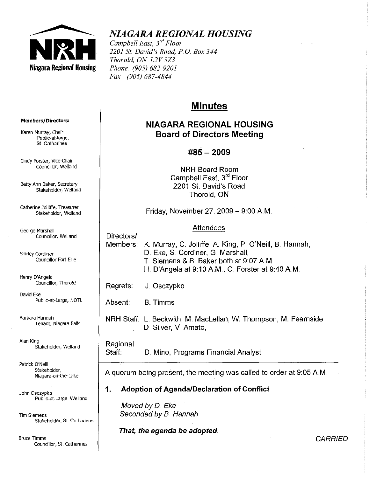

# *NIAGARA REGIONAL HOUSING*

*Campbell East, 3rd Floor 2201* Sf. *David's Road, PO Box 344 Thorold, ON L2V3Z3 Phone .. (905) 682-9201 Fax* (905) 687-4844

# **Minutes**

# NIAGARA REGIONAL HOUSING Board of Directors Meeting

# #85- 2009

NRH Board Room Campbell East, 3rd Floor 2201 St. David's Road Thorold, ON

Friday, November 27, 2009  $-$  9:00 A.M.

### **Attendees**

Directors/

Members: K. Murray, C. Jolliffe, A. King, P. O'Neill, B. Hannah, D. Eke, S. Cordiner, G. Marshall, T. Siemens & B. Baker both at 9:07 AM. H. D'Angela at 9:10 A.M., C. Forster at 9:40 A.M.

Regrets: J.. Osczypko

Absent: B. Timms

NRH Staff: l. Beckwith, M. Maclellan, W. Thompson, M. Fearnside D. Silver, V. Amato,

Regional

Staff: D. Mino, Programs Financial Analyst

A quorum being present, the meeting was called to order at 9:05 AM

# 1" Adoption of AgendalDeclaration of Conflict

Moved by D. Eke Seconded by B. Hannah

That, the agenda be adopted.

#### **Members/Directors:**

Karen Murray, Chair PubJic~at-large, St Catharines

Cindy Forster, Vice-Chair Councillor, Weiland

Betty Ann Baker, Secretary Stakeholder, Weiland

Catherine Jolliffe, Treasurer Stakeholder, Weiland

George Marshall Councillor, Weiland

Shirley Cordiner Councillor Fort Erie

Henry D'Angela Councillor, Thorold

David Eke Public-at-Large, NOTL

Barbara Hannah Tenant, Niagara FaJls

Alan King Stakeholder, Weiland

Patrick O'Neill Stakeholder, Niagara-on-the-Lake

John Osczypko Public-at-Large, Weiland

Tim Siemens Stakeholder, St Catharines

Bruce Timms Councillor', St, Catharines **CARRIED**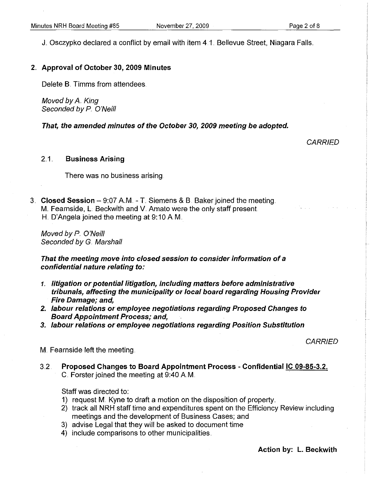J. Osczypko declared a conflict by email with item 4.1. Bellevue Street, Niagara Falls.

#### 2" Approval of October 30, 2009 Minutes

Delete B. Timms from attendees.

Moved by A. King Seconded by P. O'Neill

That, the amended minutes of the October 30, 2009 meeting be adopted.

#### **CARRIED**

#### 2.1. Business Arising

There was no business arising.

3. Closed Session - 9:07 A.M. - T. Siemens & B. Baker joined the meeting. M. Fearnside, L. Beckwith and V. Amato were the only staff present. H. D'Angela joined the meeting at 9:10 AM.

Moved by P. O'Neill Seconded by G. Marshall

That the meeting move into closed session to consider information of a confidential nature relating to:

- *1,.* litigation or potential litigation, including matters before administrative tribunals, affecting the municipality or local board regarding Housing Provider Fire Damage; and,
- 2. labour relations or employee negotiations regarding Proposed Changes to Board Appointment Process; and,
- 3. labour relations or employee negotiations regarding Position Substitution

**CARRIED** 

M. Fearnside left the meeting.

3.2. Proposed Changes to Board Appointment Process - Confidential IC 09-85-3.2. C. Forster joined the meeting at 9:40 A.M.

Staff was directed to:

- 1) request M.. Kyne to draft a motion on the disposition of property
- 2) track all NRH staff time and expenditures spent on the Efficiency Review including meetings and the development of Business Cases; and
- 3) advise Legal that they will be asked to document time
- 4) include comparisons to other municipalities

#### Action by: L. Beckwith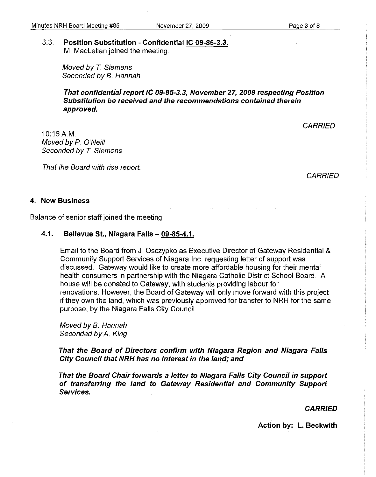#### 3.3. Position Substitution - ConfidentiallC 09-85-3.3. M. Maclellan joined the meeting.

Moved by T. Siemens Seconded by B. Hannah

That confidential report IC 09-85-3.3, November 27, 2009 respecting Position Substitution be received and the recommendations contained therein approved.

**CARRIED** 

10:16AM. Moved by P. O'Neill Seconded by T. Siemens

That the Board with rise report.

**CARRIED** 

#### 4. New Business

Balance of senior staff joined the meeting ..

### 4.1. Bellevue St., Niagara Falls - 09-85-4.1.

Email to the Board from J.. Osczypko as Executive Director of Gateway Residential & Community Support Services of Niagara Inc. requesting letter of support was discussed. Gateway would like to create more affordable housing for their mental health consumers in partnership with the Niagara Catholic District School Board. A house will be donated to Gateway, with students providing labour for renovations. However, the Board of Gateway will only move forward with this project if they own the land, which was previously approved for transfer to NRH for the same purpose, by the Niagara Falls City Council.

Moved by B. Hannah Seconded by A. King

That the Board of Directors confirm with Niagara Region and Niagara Falls City Council that NRH has no interest in the land; and

That the Board Chair forwards a letter to Niagara Falls City Council in support of transferring the land to Gateway Residential and Community Support Services.

**CARRIED** 

Action by: L. Beckwith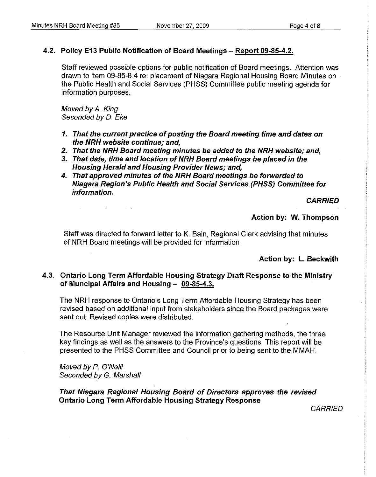### 4.2. Policy E13 Public Notification of Board Meetings - Report 09-85-4.2.

Staff reviewed possible options for public notification of Board meetings. Attention was drawn to item 09-85-84 re: placement of Niagara Regional Housing Board Minutes on the Public Health and Social Services (PHSS) Committee public meeting agenda for information purposes ..

Moved by A. King Seconded by D. Eke

 $\sim 10^{-10}$  k

- 1. That the current practice of posting the Board meeting time and dates on the NRH website continue; and,
- *2.* That the NRH Board meeting minutes be added to the NRH website; and,
- *3.* That date, time and location of NRH Board meetings be placed in the Housing Herald and Housing Provider News; and,
- 4. That approved minutes of the NRH Board meetings be forwarded to Niagara Region's Public Health and Social Services (PHSS) Committee for information..

**CARRIED** 

Action by: W. Thompson

Staff was directed to forward letter to K. Bain, Regional Clerk advising that minutes of NRH Board meetings will be provided for information.

Action by: L. Beckwith

### 4.3" Ontario Long Term Affordable Housing Strategy Draft Response to the Ministry of Muncipal Affairs and Housing  $-$  09-85-4.3.

The NRH response to Ontario's Long Term Affordable Housing Strategy has been revised based on additional input from stakeholders since the Board packages were sent out. Revised copies were distributed.

The Resource Unit Manager reviewed the information gathering methods, the three key findings as well as the answers to the Province's questions This report will be presented to the PHSS Committee and Council prior to being sent to the MMAH ..

Moved by P O'Neill Seconded by G. Marshall

That Niagara Regional Housing Board of Directors approves the revised Ontario Long Term Affordable Housing Strategy Response

**CARRIED**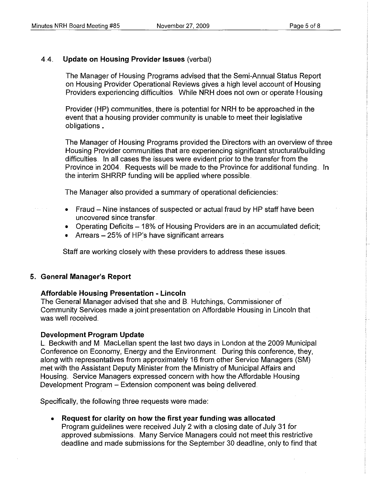## 44 **Update on Housing Provider Issues** (verbal)

The Manager of Housing Programs advised that the Semi-Annual Status Report on Housing Provider Operational Reviews gives a high level account of Housing Providers experiencing difficulties. While NRH does not own or operate Housing

Provider (HP) communities, there is potential for NRH to be approached in the event that a housing provider community is unable to meet their legislative obligations.

The Manager of Housing Programs provided the Directors with an overview of three Housing Provider communities that are experiencing significant structural/building difficulties. In all cases the issues were evident prior to the transfer from the Province in 2004. Requests will be made to the Province for additional funding. In the interim SHRRP funding will be applied where possible ..

The Manager also provided a summary of operational deficiencies:

- Fraud Nine instances of suspected or actual fraud by HP staff have been uncovered since transfer.
- Operating Deficits  $-18\%$  of Housing Providers are in an accumulated deficit;
- Arrears  $-25%$  of HP's have significant arrears

Staff are working closely with these providers to address these issues ..

### **5. General Manager's Report**

### **Affordable Housing Presentation - Lincoln**

The General Manager advised that she and B. Hutchings, Commissioner of Community Services made a joint presentation on Affordable Housing in Lincoln that was well received.

### **Development Program Update**

l. Beckwith and M. Maclellan spent the last two days in london at the 2009 Municipal Conference on Economy, Energy and the Environment. During this conference, they, along with representatives from approximately 16 from other Service Managers (SM) met with the Assistant Deputy Minister from the Ministry of Municipal Affairs and Housing. Service Managers expressed concern with how the Affordable Housing Development Program - Extension component was being delivered ..

Specifically, the following three requests were made:

**• Request for clarity on how the first year funding was allocated**  Program guidelines were received July 2 with a closing date of July 31 for approved submissions. Many Service Managers could not meet this restrictive deadline and made submissions for the September 30 deadline, only to find that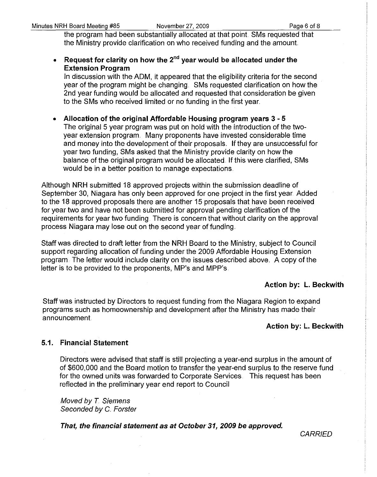the program had been substantially allocated at that point SMs requested that the Ministry provide clarification on who received funding and the amount

• Request for clarity on how the  $2^{nd}$  year would be allocated under the Extension Program

In discussion with the ADM, it appeared that the eligibility criteria for the second year of the program might be changing.. SMs requested clarification on how the 2nd year funding would be allocated and requested that consideration be given to the SMs who received limited or no funding in the first year ..

• Allocation of the original Affordable Housing program years 3 - 5 The original 5 year program was put on hold with the introduction of the twoyear extension program. Many proponents have invested considerable time and money into the development of their proposals.. If they are unsuccessful for year two funding, SMs asked that the Ministry provide clarity on how the balance of the original program would be allocated. If this were clarified, SMs would be in a better position to manage expectations.

Although NRH submitted 18 approved projects within the submission deadline of September 30, Niagara has only been approved for one project in the first year. Added to the 18 approved proposals there are another 15 proposals that have been received for year two and have not been submitted for approval pending clarification of the requirements for year two funding. There is concern that without clarity on the approval process Niagara may lose out on the second year of funding ..

Staff was directed to draft letter from the NRH Board to the Ministry, subject to Council support regarding allocation of funding under the 2009 Affordable Housing Extension program. The letter would include clarity on the issues described above. A copy of the letter is to be provided to the proponents, MP's and MPP's.

# Action by: L. Beckwith

Staff was instructed by Directors to request funding from the Niagara Region to expand prograrns such as homeownership and development after the Ministry has made their announcement

# Action by: L. Beckwith

# 5.1. Financial Statement

Directors were advised that staff is still projecting a year-end surplus in the amount of of \$600,000 and the Board motion to transfer the year-end surplus to the reserve fund for the owned units was forwarded to Corporate Services. This request has been reflected in the preliminary year end report to Council

Moved by T. Siemens Seconded by C. Forster

That, the financial statement as at October 31, 2009 be approved.

**CARRIED**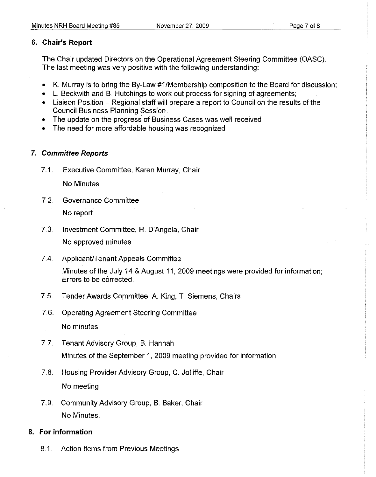### **6. Chair's Report**

The Chair updated Directors on the Operational Agreement Steering Committee (OASC) .. The last meeting was very positive with the following understanding:

- K. Murray is to bring the By-Law #1/Membership composition to the Board for discussion;
- L. Beckwith and B. Hutchings to work out process for signing of agreements;
- Liaison Position Regional staff will prepare a report to Council on the results of the Council Business Planning Session.
- The update on the progress of Business Cases was well received
- The need for more affordable housing was recognized

## **7. Committee Reports**

7.1.. Executive Committee, Karen Murray, Chair

No Minutes

- 7.2.. Governance Committee No report
- 7.3.. Investment Committee, H. D'Angela, Chair No approved minutes
- 7.4. Applicant/Tenant Appeals Committee

Minutes of the July 14 & August 11,2009 meetings were provided for information; Errors to be corrected.

- 7.5. Tender Awards Committee, A. King, T. Siemens, Chairs
- 7.6.. Operating Agreement Steering Committee

No minutes.

- 7.7. Tenant Advisory Group, B. Hannah Minutes of the September 1, 2009 meeting provided for information.
- 7.8. Housing Provider Advisory Group, C. Jolliffe, Chair No meeting
- 7.9. Community Advisory Group, B. Baker, Chair No Minutes.

### **8. For information**

8.1. Action Items from Previous Meetings